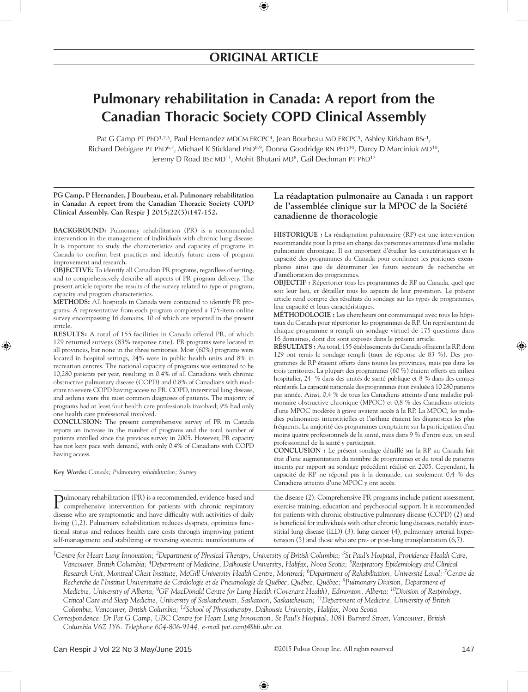# **Pulmonary rehabilitation in Canada: A report from the Canadian Thoracic Society COPD Clinical Assembly**

Pat G Camp PT PhD<sup>1,2,3</sup>, Paul Hernandez MDCM FRCPC<sup>4</sup>, Jean Bourbeau MD FRCPC<sup>5</sup>, Ashley Kirkham BSc<sup>1</sup>, Richard Debigare PT PhD<sup>6,7</sup>, Michael K Stickland PhD<sup>8,9</sup>, Donna Goodridge RN PhD<sup>10</sup>, Darcy D Marciniuk MD<sup>10</sup>, Jeremy D Road BSc MD<sup>11</sup>, Mohit Bhutani MD<sup>8</sup>, Gail Dechman PT PhD<sup>12</sup>

## **PG Camp, P Hernandez, J Bourbeau, et al. Pulmonary rehabilitation in Canada: A report from the Canadian Thoracic Society COPD Clinical Assembly. Can Respir J 2015;22(3):147-152.**

**BACKGROUND:** Pulmonary rehabilitation (PR) is a recommended intervention in the management of individuals with chronic lung disease. It is important to study the characteristics and capacity of programs in Canada to confirm best practices and identify future areas of program improvement and research.

**OBJECTIVE:** To identify all Canadian PR programs, regardless of setting, and to comprehensively describe all aspects of PR program delivery. The present article reports the results of the survey related to type of program, capacity and program characteristics.

**METHODS:** All hospitals in Canada were contacted to identify PR programs. A representative from each program completed a 175-item online survey encompassing 16 domains, 10 of which are reported in the present article.

**RESULTS:** A total of 155 facilities in Canada offered PR, of which 129 returned surveys (83% response rate). PR programs were located in all provinces, but none in the three territories. Most (60%) programs were located in hospital settings, 24% were in public health units and 8% in recreation centres. The national capacity of programs was estimated to be 10,280 patients per year, resulting in 0.4% of all Canadians with chronic obstructive pulmonary disease (COPD) and 0.8% of Canadians with moderate to severe COPD having access to PR. COPD, interstitial lung disease, and asthma were the most common diagnoses of patients. The majority of programs had at least four health care professionals involved; 9% had only one health care professional involved.

**CONCLUSION:** The present comprehensive survey of PR in Canada reports an increase in the number of programs and the total number of patients enrolled since the previous survey in 2005. However, PR capacity has not kept pace with demand, with only 0.4% of Canadians with COPD having access.

**Key Words:** *Canada; Pulmonary rehabilitation; Survey*

Pulmonary rehabilitation (PR) is a recommended, evidence-based and comprehensive intervention for patients with chronic respiratory disease who are symptomatic and have difficulty with activities of daily living (1,2). Pulmonary rehabilitation reduces dyspnea, optimizes functional status and reduces health care costs through improving patient self-management and stabilizing or reversing systemic manifestations of

## **La réadaptation pulmonaire au Canada : un rapport de l'assemblée clinique sur la MPOC de la Société canadienne de thoracologie**

**HISTORIQUE :** La réadaptation pulmonaire (RP) est une intervention recommandée pour la prise en charge des personnes atteintes d'une maladie pulmonaire chronique. Il est important d'étudier les caractéristiques et la capacité des programmes du Canada pour confirmer les pratiques exemplaires ainsi que de déterminer les futurs secteurs de recherche et d'amélioration des programmes.

**OBJECTIF :** Répertorier tous les programmes de RP au Canada, quel que soit leur lieu, et détailler tous les aspects de leur prestation. Le présent article rend compte des résultats du sondage sur les types de programmes, leur capacité et leurs caractéristiques.

**MÉTHODOLOGIE :** Les chercheurs ont communiqué avec tous les hôpitaux du Canada pour répertorier les programmes de RP. Un représentant de chaque programme a rempli un sondage virtuel de 175 questions dans 16 domaines, dont dix sont exposés dans le présent article.

**RÉSULTATS :** Au total, 155 établissements du Canada offraient la RP, dont 129 ont remis le sondage rempli (taux de réponse de 83 %). Des programmes de RP étaient offerts dans toutes les provinces, mais pas dans les trois territoires. La plupart des programmes (60 %) étaient offerts en milieu hospitalier, 24 % dans des unités de santé publique et 8 % dans des centres récréatifs. La capacité nationale des programmes était évaluée à 10 280 patients par année. Ainsi, 0,4 % de tous les Canadiens atteints d'une maladie pulmonaire obstructive chronique (MPOC) et 0,8 % des Canadiens atteints d'une MPOC modérée à grave avaient accès à la RP. La MPOC, les maladies pulmonaires interstitielles et l'asthme étaient les diagnostics les plus fréquents. La majorité des programmes comptaient sur la participation d'au moins quatre professionnels de la santé, mais dans 9 % d'entre eux, un seul professionnel de la santé y participait.

**CONCLUSION :** Le présent sondage détaillé sur la RP au Canada fait état d'une augmentation du nombre de programmes et du total de patients inscrits par rapport au sondage précédent réalisé en 2005. Cependant, la capacité de RP ne répond pas à la demande, car seulement 0,4 % des Canadiens atteints d'une MPOC y ont accès.

the disease (2). Comprehensive PR programs include patient assessment, exercise training, education and psychosocial support. It is recommended for patients with chronic obstructive pulmonary disease (COPD) (2) and is beneficial for individuals with other chronic lung diseases, notably interstitial lung disease (ILD) (3), lung cancer (4), pulmonary arterial hypertension (5) and those who are pre- or post-lung transplantation (6,7).

*1Centre for Heart Lung Innovation; 2Department of Physical Therapy, University of British Columbia; 3St Paul's Hospital, Providence Health Care, Vancouver, British Columbia; 4Department of Medicine, Dalhousie University, Halifax, Nova Scotia; 5Respiratory Epidemiology and Clinical Research Unit, Montreal Chest Institute, McGill University Health Centre, Montreal; 6Department of Rehabilitation, Université Laval; 7Centre de Recherche de l'Institut Universitaire de Cardiologie et de Pneumologie de Québec, Québec, Québec; 8Pulmonary Division, Department of Medicine, University of Alberta; 9GF MacDonald Centre for Lung Health (Covenant Health), Edmonton, Alberta; 10Division of Respirology, Critical Care and Sleep Medicine, University of Saskatchewan, Saskatoon, Saskatchewan; 11Department of Medicine, University of British Columbia, Vancouver, British Columbia; 12School of Physiotherapy, Dalhousie University, Halifax, Nova Scotia*

*Correspondence: Dr Pat G Camp, UBC Centre for Heart Lung Innovation, St Paul's Hospital, 1081 Burrard Street, Vancouver, British Columbia V6Z 1Y6. Telephone 604-806-9144, e-mail pat.camp@hli.ubc.ca*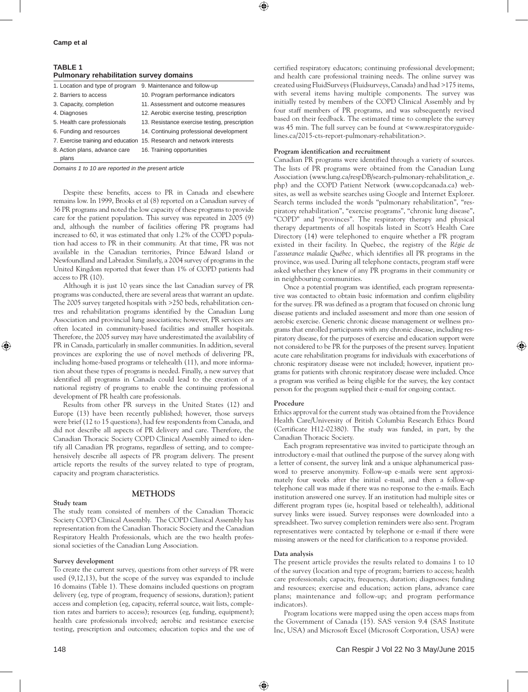| <b>TABLE 1</b><br><b>Pulmonary rehabilitation survey domains</b> |                                                                       |  |
|------------------------------------------------------------------|-----------------------------------------------------------------------|--|
| 1. Location and type of program                                  | 9. Maintenance and follow-up                                          |  |
| 2. Barriers to access                                            | 10. Program performance indicators                                    |  |
| 3. Capacity, completion                                          | 11. Assessment and outcome measures                                   |  |
| 4. Diagnoses                                                     | 12. Aerobic exercise testing, prescription                            |  |
| 5. Health care professionals                                     | 13. Resistance exercise testing, prescription                         |  |
| 6. Funding and resources                                         | 14. Continuing professional development                               |  |
|                                                                  | 7. Exercise training and education 15. Research and network interests |  |
| 8. Action plans, advance care<br>plans                           | 16. Training opportunities                                            |  |
| .                                                                |                                                                       |  |

*Domains 1 to 10 are reported in the present article*

Despite these benefits, access to PR in Canada and elsewhere remains low. In 1999, Brooks et al (8) reported on a Canadian survey of 36 PR programs and noted the low capacity of these programs to provide care for the patient population. This survey was repeated in 2005 (9) and, although the number of facilities offering PR programs had increased to 60, it was estimated that only 1.2% of the COPD population had access to PR in their community. At that time, PR was not available in the Canadian territories, Prince Edward Island or Newfoundland and Labrador. Similarly, a 2004 survey of programs in the United Kingdom reported that fewer than 1% of COPD patients had access to PR (10).

Although it is just 10 years since the last Canadian survey of PR programs was conducted, there are several areas that warrant an update. The 2005 survey targeted hospitals with >250 beds, rehabilitation centres and rehabilitation programs identified by the Canadian Lung Association and provincial lung associations; however, PR services are often located in community-based facilities and smaller hospitals. Therefore, the 2005 survey may have underestimated the availability of PR in Canada, particularly in smaller communities. In addition, several provinces are exploring the use of novel methods of delivering PR, including home-based programs or telehealth (11), and more information about these types of programs is needed. Finally, a new survey that identified all programs in Canada could lead to the creation of a national registry of programs to enable the continuing professional development of PR health care professionals.

Results from other PR surveys in the United States (12) and Europe (13) have been recently published; however, those surveys were brief (12 to 15 questions), had few respondents from Canada, and did not describe all aspects of PR delivery and care. Therefore, the Canadian Thoracic Society COPD Clinical Assembly aimed to identify all Canadian PR programs, regardless of setting, and to comprehensively describe all aspects of PR program delivery. The present article reports the results of the survey related to type of program, capacity and program characteristics.

#### **Study team**

## **METHODS**

The study team consisted of members of the Canadian Thoracic Society COPD Clinical Assembly. The COPD Clinical Assembly has representation from the Canadian Thoracic Society and the Canadian Respiratory Health Professionals, which are the two health professional societies of the Canadian Lung Association.

#### **Survey development**

To create the current survey, questions from other surveys of PR were used (9,12,13), but the scope of the survey was expanded to include 16 domains (Table 1). These domains included questions on program delivery (eg, type of program, frequency of sessions, duration); patient access and completion (eg, capacity, referral source, wait lists, completion rates and barriers to access); resources (eg, funding, equipment); health care professionals involved; aerobic and resistance exercise testing, prescription and outcomes; education topics and the use of certified respiratory educators; continuing professional development; and health care professional training needs. The online survey was created using FluidSurveys (Fluidsurveys, Canada) and had >175 items, with several items having multiple components. The survey was initially tested by members of the COPD Clinical Assembly and by four staff members of PR programs, and was subsequently revised based on their feedback. The estimated time to complete the survey was 45 min. The full survey can be found at <www.respiratoryguidelines.ca/2015-cts-report-pulmonary-rehabilitation>.

#### **Program identification and recruitment**

Canadian PR programs were identified through a variety of sources. The lists of PR programs were obtained from the Canadian Lung Association (www.lung.ca/respDB/search-pulmonary-rehabilitation\_e. php) and the COPD Patient Network (www.copdcanada.ca) websites, as well as website searches using Google and Internet Explorer. Search terms included the words "pulmonary rehabilitation", "respiratory rehabilitation", "exercise programs", "chronic lung disease", "COPD" and "provinces". The respiratory therapy and physical therapy departments of all hospitals listed in Scott's Health Care Directory (14) were telephoned to enquire whether a PR program existed in their facility. In Quebec, the registry of the *Régie de l'assurance maladie Québec,* which identifies all PR programs in the province, was used. During all telephone contacts, program staff were asked whether they knew of any PR programs in their community or in neighbouring communities.

Once a potential program was identified, each program representative was contacted to obtain basic information and confirm eligibility for the survey. PR was defined as a program that focused on chronic lung disease patients and included assessment and more than one session of aerobic exercise. Generic chronic disease management or wellness programs that enrolled participants with any chronic disease, including respiratory disease, for the purposes of exercise and education support were not considered to be PR for the purposes of the present survey. Inpatient acute care rehabilitation programs for individuals with exacerbations of chronic respiratory disease were not included; however, inpatient programs for patients with chronic respiratory disease were included. Once a program was verified as being eligible for the survey, the key contact person for the program supplied their e-mail for ongoing contact.

#### **Procedure**

Ethics approval for the current study was obtained from the Providence Health Care/University of British Columbia Research Ethics Board (Certificate H12-02380). The study was funded, in part, by the Canadian Thoracic Society.

Each program representative was invited to participate through an introductory e-mail that outlined the purpose of the survey along with a letter of consent, the survey link and a unique alphanumerical password to preserve anonymity. Follow-up e-mails were sent approximately four weeks after the initial e-mail, and then a follow-up telephone call was made if there was no response to the e-mails. Each institution answered one survey. If an institution had multiple sites or different program types (ie, hospital based or telehealth), additional survey links were issued. Survey responses were downloaded into a spreadsheet. Two survey completion reminders were also sent. Program representatives were contacted by telephone or e-mail if there were missing answers or the need for clarification to a response provided.

#### **Data analysis**

The present article provides the results related to domains 1 to 10 of the survey (location and type of program; barriers to access; health care professionals; capacity, frequency, duration; diagnoses; funding and resources; exercise and education; action plans, advance care plans; maintenance and follow-up; and program performance indicators).

Program locations were mapped using the open access maps from the Government of Canada (15). SAS version 9.4 (SAS Institute Inc, USA) and Microsoft Excel (Microsoft Corporation, USA) were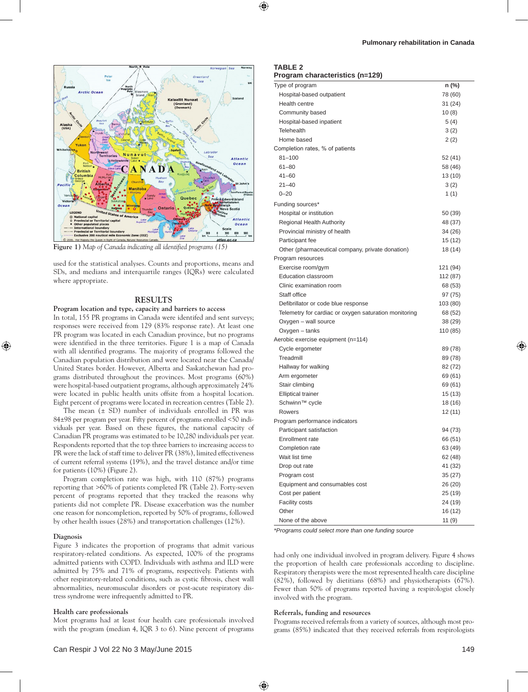

**Figure 1)** *Map of Canada indicating all identified programs (15)*

used for the statistical analyses. Counts and proportions, means and SDs, and medians and interquartile ranges (IQRs) were calculated where appropriate.

## **RESULTS**

#### **Program location and type, capacity and barriers to access**

In total, 155 PR programs in Canada were identifed and sent surveys; responses were received from 129 (83% response rate). At least one PR program was located in each Canadian province, but no programs were identified in the three territories. Figure 1 is a map of Canada with all identified programs. The majority of programs followed the Canadian population distribution and were located near the Canada/ United States border. However, Alberta and Saskatchewan had programs distributed throughout the provinces. Most programs (60%) were hospital-based outpatient programs, although approximately 24% were located in public health units offsite from a hospital location. Eight percent of programs were located in recreation centres (Table 2).

The mean (± SD) number of individuals enrolled in PR was 84±98 per program per year. Fifty percent of programs enrolled <50 individuals per year. Based on these figures, the national capacity of Canadian PR programs was estimated to be 10,280 individuals per year. Respondents reported that the top three barriers to increasing access to PR were the lack of staff time to deliver PR (38%), limited effectiveness of current referral systems (19%), and the travel distance and/or time for patients (10%) (Figure 2).

Program completion rate was high, with 110 (87%) programs reporting that >60% of patients completed PR (Table 2). Forty-seven percent of programs reported that they tracked the reasons why patients did not complete PR. Disease exacerbation was the number one reason for noncompletion, reported by 50% of programs, followed by other health issues (28%) and transportation challenges (12%).

#### **Diagnosis**

Figure 3 indicates the proportion of programs that admit various respiratory-related conditions. As expected, 100% of the programs admitted patients with COPD. Individuals with asthma and ILD were admitted by 75% and 71% of programs, respectively. Patients with other respiratory-related conditions, such as cystic fibrosis, chest wall abnormalities, neuromuscular disorders or post-acute respiratory distress syndrome were infrequently admitted to PR.

#### **Health care professionals**

Most programs had at least four health care professionals involved with the program (median 4, IQR 3 to 6). Nine percent of programs

#### **TARIF 2**

**Program characteristics (n=129)**

| Type of program                                       | n (%)    |
|-------------------------------------------------------|----------|
| Hospital-based outpatient                             | 78 (60)  |
| Health centre                                         | 31 (24)  |
| Community based                                       | 10(8)    |
| Hospital-based inpatient                              | 5 (4)    |
| Telehealth                                            | 3(2)     |
| Home based                                            | 2(2)     |
| Completion rates, % of patients                       |          |
| $81 - 100$                                            | 52 (41)  |
| $61 - 80$                                             | 58 (46)  |
| $41 - 60$                                             | 13 (10)  |
| $21 - 40$                                             | 3(2)     |
| $0 - 20$                                              | 1(1)     |
| Funding sources*                                      |          |
| Hospital or institution                               | 50 (39)  |
| Regional Health Authority                             | 48 (37)  |
| Provincial ministry of health                         | 34 (26)  |
| Participant fee                                       | 15 (12)  |
| Other (pharmaceutical company, private donation)      | 18 (14)  |
| Program resources                                     |          |
| Exercise room/gym                                     | 121 (94) |
| Education classroom                                   | 112 (87) |
| Clinic examination room                               | 68 (53)  |
| Staff office                                          | 97 (75)  |
| Defibrillator or code blue response                   | 103 (80) |
| Telemetry for cardiac or oxygen saturation monitoring | 68 (52)  |
| Oxygen - wall source                                  | 38 (29)  |
| Oxygen – tanks                                        | 110 (85) |
| Aerobic exercise equipment (n=114)                    |          |
| Cycle ergometer                                       | 89 (78)  |
| Treadmill                                             | 89 (78)  |
| Hallway for walking                                   | 82 (72)  |
| Arm ergometer                                         | 69 (61)  |
| Stair climbing                                        | 69 (61)  |
| <b>Elliptical trainer</b>                             | 15 (13)  |
| Schwinn™ cycle                                        | 18 (16)  |
| Rowers                                                | 12 (11)  |
| Program performance indicators                        |          |
| Participant satisfaction                              | 94 (73)  |
| <b>Enrollment</b> rate                                | 66 (51)  |
| Completion rate                                       | 63 (49)  |
| Wait list time                                        | 62 (48)  |
| Drop out rate                                         | 41 (32)  |
| Program cost                                          | 35 (27)  |
| Equipment and consumables cost                        | 26 (20)  |
| Cost per patient                                      | 25 (19)  |
| Facility costs                                        | 24 (19)  |
| Other                                                 | 16 (12)  |
| None of the above                                     | 11 (9)   |

*\*Programs could select more than one funding source*

had only one individual involved in program delivery. Figure 4 shows the proportion of health care professionals according to discipline. Respiratory therapists were the most represented health care discipline (82%), followed by dietitians (68%) and physiotherapists (67%). Fewer than 50% of programs reported having a respirologist closely involved with the program.

#### **Referrals, funding and resources**

Programs received referrals from a variety of sources, although most programs (85%) indicated that they received referrals from respirologists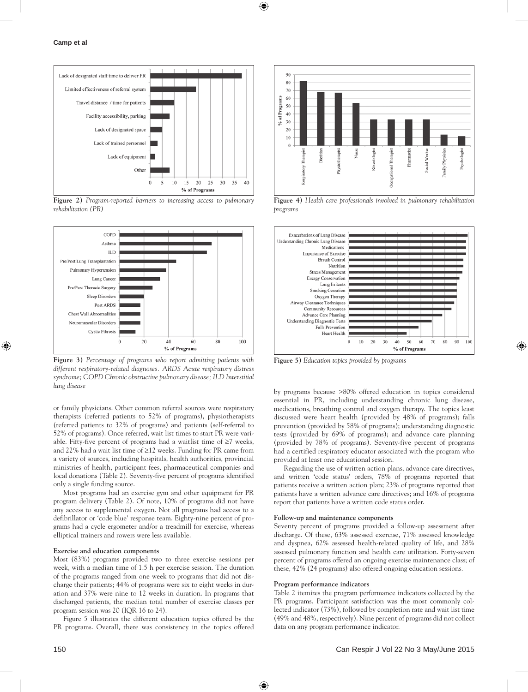

**Figure 2)** *Program-reported barriers to increasing access to pulmonary rehabilitation (PR)*



**Figure 3)** *Percentage of programs who report admitting patients with different respiratory-related diagnoses. ARDS Acute respiratory distress syndrome; COPD Chronic obstructive pulmonary disease; ILD Interstitial lung disease*

or family physicians. Other common referral sources were respiratory therapists (referred patients to 52% of programs), physiotherapists (referred patients to 32% of programs) and patients (self-referral to 52% of programs). Once referred, wait list times to start PR were variable. Fifty-five percent of programs had a waitlist time of  $\geq 7$  weeks, and 22% had a wait list time of ≥12 weeks. Funding for PR came from a variety of sources, including hospitals, health authorities, provincial ministries of health, participant fees, pharmaceutical companies and local donations (Table 2). Seventy-five percent of programs identified only a single funding source.

Most programs had an exercise gym and other equipment for PR program delivery (Table 2). Of note, 10% of programs did not have any access to supplemental oxygen. Not all programs had access to a defibrillator or 'code blue' response team. Eighty-nine percent of programs had a cycle ergometer and/or a treadmill for exercise, whereas elliptical trainers and rowers were less available.

#### **Exercise and education components**

Most (83%) programs provided two to three exercise sessions per week, with a median time of 1.5 h per exercise session. The duration of the programs ranged from one week to programs that did not discharge their patients; 44% of programs were six to eight weeks in duration and 37% were nine to 12 weeks in duration. In programs that discharged patients, the median total number of exercise classes per program session was 20 (IQR 16 to 24).

Figure 5 illustrates the different education topics offered by the PR programs. Overall, there was consistency in the topics offered



**Figure 4)** *Health care professionals involved in pulmonary rehabilitation programs*



**Figure 5)** *Education topics provided by programs*

by programs because >80% offered education in topics considered essential in PR, including understanding chronic lung disease, medications, breathing control and oxygen therapy. The topics least discussed were heart health (provided by 48% of programs); falls prevention (provided by 58% of programs); understanding diagnostic tests (provided by 69% of programs); and advance care planning (provided by 78% of programs). Seventy-five percent of programs had a certified respiratory educator associated with the program who provided at least one educational session.

Regarding the use of written action plans, advance care directives, and written 'code status' orders, 78% of programs reported that patients receive a written action plan; 23% of programs reported that patients have a written advance care directives; and 16% of programs report that patients have a written code status order.

#### **Follow-up and maintenance components**

Seventy percent of programs provided a follow-up assessment after discharge. Of these, 63% assessed exercise, 71% assessed knowledge and dyspnea, 62% assessed health-related quality of life, and 28% assessed pulmonary function and health care utilization. Forty-seven percent of programs offered an ongoing exercise maintenance class; of these, 42% (24 programs) also offered ongoing education sessions.

#### **Program performance indicators**

Table 2 itemizes the program performance indicators collected by the PR programs. Participant satisfaction was the most commonly collected indicator (73%), followed by completion rate and wait list time (49% and 48%, respectively). Nine percent of programs did not collect data on any program performance indicator.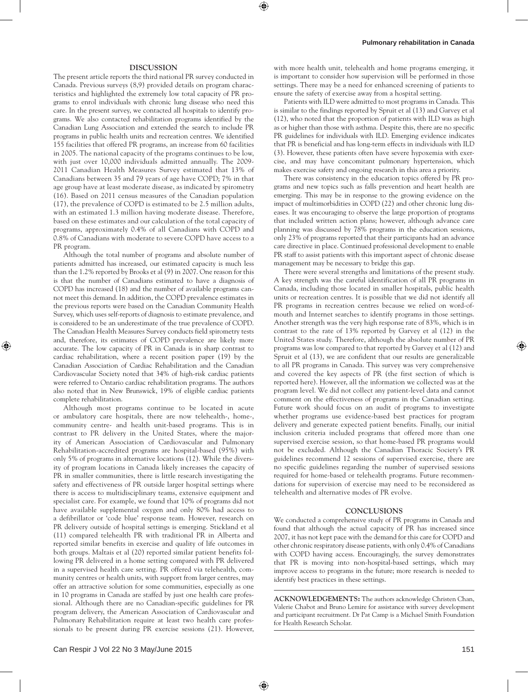## **DISCUSSION**

The present article reports the third national PR survey conducted in Canada. Previous surveys (8,9) provided details on program characteristics and highlighted the extremely low total capacity of PR programs to enrol individuals with chronic lung disease who need this care. In the present survey, we contacted all hospitals to identify programs. We also contacted rehabilitation programs identified by the Canadian Lung Association and extended the search to include PR programs in public health units and recreation centres. We identified 155 facilities that offered PR programs, an increase from 60 facilities in 2005. The national capacity of the programs continues to be low, with just over 10,000 individuals admitted annually. The 2009- 2011 Canadian Health Measures Survey estimated that 13% of Canadians between 35 and 79 years of age have COPD; 7% in that age group have at least moderate disease, as indicated by spirometry (16). Based on 2011 census measures of the Canadian population (17), the prevalence of COPD is estimated to be 2.5 million adults, with an estimated 1.3 million having moderate disease. Therefore, based on these estimates and our calculation of the total capacity of programs, approximately 0.4% of all Canadians with COPD and 0.8% of Canadians with moderate to severe COPD have access to a PR program.

Although the total number of programs and absolute number of patients admitted has increased, our estimated capacity is much less than the 1.2% reported by Brooks et al (9) in 2007. One reason for this is that the number of Canadians estimated to have a diagnosis of COPD has increased (18) and the number of available programs cannot meet this demand. In addition, the COPD prevalence estimates in the previous reports were based on the Canadian Community Health Survey, which uses self-reports of diagnosis to estimate prevalence, and is considered to be an underestimate of the true prevalence of COPD. The Canadian Health Measures Survey conducts field spirometry tests and, therefore, its estimates of COPD prevalence are likely more accurate. The low capacity of PR in Canada is in sharp contrast to cardiac rehabilitation, where a recent position paper (19) by the Canadian Association of Cardiac Rehabilitation and the Canadian Cardiovascular Society noted that 34% of high-risk cardiac patients were referred to Ontario cardiac rehabilitation programs. The authors also noted that in New Brunswick, 19% of eligible cardiac patients complete rehabilitation.

Although most programs continue to be located in acute or ambulatory care hospitals, there are now telehealth-, home-, community centre- and health unit-based programs. This is in contrast to PR delivery in the United States, where the majority of American Association of Cardiovascular and Pulmonary Rehabilitation-accredited programs are hospital-based (95%) with only 5% of programs in alternative locations (12). While the diversity of program locations in Canada likely increases the capacity of PR in smaller communities, there is little research investigating the safety and effectiveness of PR outside larger hospital settings where there is access to multidisciplinary teams, extensive equipment and specialist care. For example, we found that 10% of programs did not have available supplemental oxygen and only 80% had access to a defibrillator or 'code blue' response team. However, research on PR delivery outside of hospital settings is emerging. Stickland et al (11) compared telehealth PR with traditional PR in Alberta and reported similar benefits in exercise and quality of life outcomes in both groups. Maltais et al (20) reported similar patient benefits following PR delivered in a home setting compared with PR delivered in a supervised health care setting. PR offered via telehealth, community centres or health units, with support from larger centres, may offer an attractive solution for some communities, especially as one in 10 programs in Canada are staffed by just one health care professional. Although there are no Canadian-specific guidelines for PR program delivery, the American Association of Cardiovascular and Pulmonary Rehabilitation require at least two health care professionals to be present during PR exercise sessions (21). However,

with more health unit, telehealth and home programs emerging, it is important to consider how supervision will be performed in those settings. There may be a need for enhanced screening of patients to ensure the safety of exercise away from a hospital setting.

Patients with ILD were admitted to most programs in Canada. This is similar to the findings reported by Spruit et al (13) and Garvey et al (12), who noted that the proportion of patients with ILD was as high as or higher than those with asthma. Despite this, there are no specific PR guidelines for individuals with ILD. Emerging evidence indicates that PR is beneficial and has long-term effects in individuals with ILD (3). However, these patients often have severe hypoxemia with exercise, and may have concomitant pulmonary hypertension, which makes exercise safety and ongoing research in this area a priority.

There was consistency in the education topics offered by PR programs and new topics such as falls prevention and heart health are emerging. This may be in response to the growing evidence on the impact of multimorbidities in COPD (22) and other chronic lung diseases. It was encouraging to observe the large proportion of programs that included written action plans; however, although advance care planning was discussed by 78% programs in the education sessions, only 23% of programs reported that their participants had an advance care directive in place. Continued professional development to enable PR staff to assist patients with this important aspect of chronic disease management may be necessary to bridge this gap.

There were several strengths and limitations of the present study. A key strength was the careful identification of all PR programs in Canada, including those located in smaller hospitals, public health units or recreation centres. It is possible that we did not identify all PR programs in recreation centres because we relied on word-ofmouth and Internet searches to identify programs in those settings. Another strength was the very high response rate of 83%, which is in contrast to the rate of 13% reported by Garvey et al (12) in the United States study. Therefore, although the absolute number of PR programs was low compared to that reported by Garvey et al (12) and Spruit et al (13), we are confident that our results are generalizable to all PR programs in Canada. This survey was very comprehensive and covered the key aspects of PR (the first section of which is reported here). However, all the information we collected was at the program level. We did not collect any patient-level data and cannot comment on the effectiveness of programs in the Canadian setting. Future work should focus on an audit of programs to investigate whether programs use evidence-based best practices for program delivery and generate expected patient benefits. Finally, our initial inclusion criteria included programs that offered more than one supervised exercise session, so that home-based PR programs would not be excluded. Although the Canadian Thoracic Society's PR guidelines recommend 12 sessions of supervised exercise, there are no specific guidelines regarding the number of supervised sessions required for home-based or telehealth programs. Future recommendations for supervision of exercise may need to be reconsidered as telehealth and alternative modes of PR evolve.

#### **conclusions**

We conducted a comprehensive study of PR programs in Canada and found that although the actual capacity of PR has increased since 2007, it has not kept pace with the demand for this care for COPD and other chronic respiratory disease patients, with only 0.4% of Canadians with COPD having access. Encouragingly, the survey demonstrates that PR is moving into non-hospital-based settings, which may improve access to programs in the future; more research is needed to identify best practices in these settings.

**ACKNOWLEDGEMENTS:** The authors acknowledge Christen Chan, Valerie Chabot and Bruno Lemire for assistance with survey development and participant recruitment. Dr Pat Camp is a Michael Smith Foundation for Health Research Scholar.